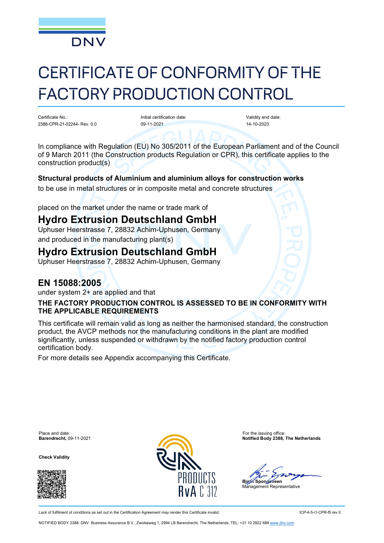

# CERTIFICATE OF CONFORMITY OF THE FACTORY PRODUCTION CONTROL

Certificate No.: 2388-CPR-21-02244- Rev. 0.0 Initial certification date: 09-11-2021

Validity end date: 14-10-2023

In compliance with Regulation (EU) No 305/2011 of the European Parliament and of the Council of 9 March 2011 (the Construction products Regulation or CPR), this certificate applies to the construction product(s)

### **Structural products of Aluminium and aluminium alloys for construction works**

to be use in metal structures or in composite metal and concrete structures

placed on the market under the name or trade mark of

# **Hydro Extrusion Deutschland GmbH**

Uphuser Heerstrasse 7, 28832 Achim-Uphusen, Germany and produced in the manufacturing plant(s)

# **Hydro Extrusion Deutschland GmbH**

Uphuser Heerstrasse 7, 28832 Achim-Uphusen, Germany

### **EN 15088:2005**

under system 2+ are applied and that

### **THE FACTORY PRODUCTION CONTROL IS ASSESSED TO BE IN CONFORMITY WITH THE APPLICABLE REQUIREMENTS**

This certificate will remain valid as long as neither the harmonised standard, the construction product, the AVCP methods nor the manufacturing conditions in the plant are modified significantly, unless suspended or withdrawn by the notified factory production control certification body.

For more details see Appendix accompanying this Certificate.

Place and date: For the issuing office:<br> **Barendrecht**, 09-11-2021 **Example 2008** 

**Check Validity**





**Barendrecht,** 09-11-2021 **Notified Body 2388, The Netherlands**

**Bjørn** Spongsveen

nagement Representative

Lack of fulfilment of conditions as set out in the Certification Agreement may render this Certificate invalid. ICP-4-5-i1-CPR-f5 rev 0

NOTIFIED BODY 2388: DNV Business Assurance B.V., Zwolseweg 1, 2994 LB Barendrecht, The Netherlands, TEL: +31 10 2922 689 [www.dnv.com](http://www.dnv.com/)